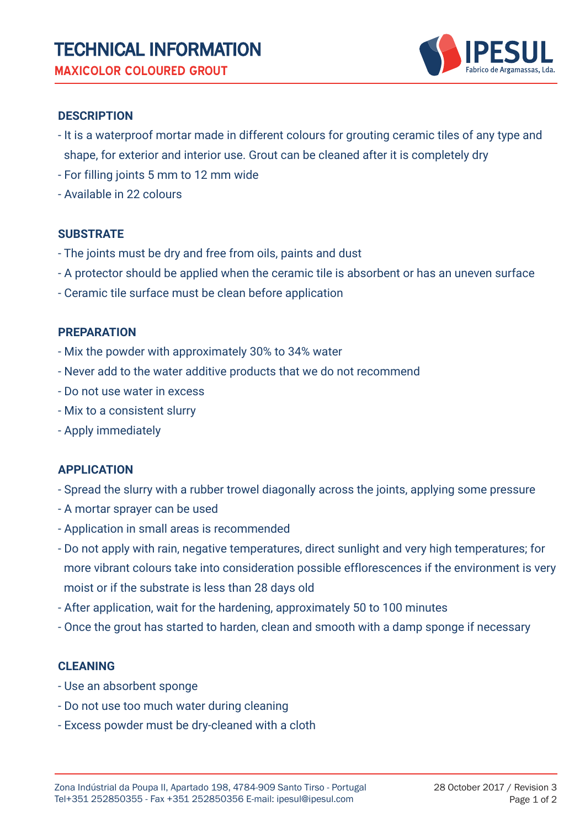

## **DESCRIPTION**

- It is a waterproof mortar made in different colours for grouting ceramic tiles of any type and shape, for exterior and interior use. Grout can be cleaned after it is completely dry
- For filling joints 5 mm to 12 mm wide
- Available in 22 colours

## **SUBSTRATE**

- The joints must be dry and free from oils, paints and dust
- A protector should be applied when the ceramic tile is absorbent or has an uneven surface
- Ceramic tile surface must be clean before application

## **PREPARATION**

- Mix the powder with approximately 30% to 34% water
- Never add to the water additive products that we do not recommend
- Do not use water in excess
- Mix to a consistent slurry
- Apply immediately

## **APPLICATION**

- Spread the slurry with a rubber trowel diagonally across the joints, applying some pressure
- A mortar sprayer can be used
- Application in small areas is recommended
- Do not apply with rain, negative temperatures, direct sunlight and very high temperatures; for more vibrant colours take into consideration possible efflorescences if the environment is very moist or if the substrate is less than 28 days old
- After application, wait for the hardening, approximately 50 to 100 minutes
- Once the grout has started to harden, clean and smooth with a damp sponge if necessary

## **CLEANING**

- Use an absorbent sponge
- Do not use too much water during cleaning
- Excess powder must be dry-cleaned with a cloth